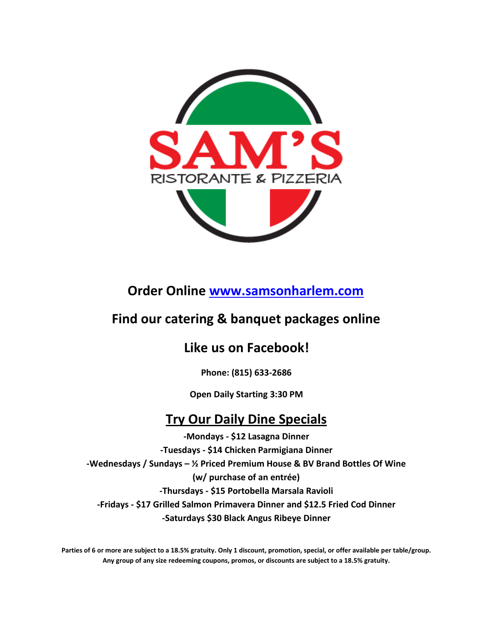

**Order Online [www.samsonharlem.com](http://www.samsonharlem.com/)**

### **Find our catering & banquet packages online**

### **Like us on Facebook!**

**Phone: (815) 633-2686**

**Open Daily Starting 3:30 PM**

### **Try Our Daily Dine Specials**

**-Mondays - \$12 Lasagna Dinner -Tuesdays - \$14 Chicken Parmigiana Dinner -Wednesdays / Sundays – ½ Priced Premium House & BV Brand Bottles Of Wine (w/ purchase of an entrée) -Thursdays - \$15 Portobella Marsala Ravioli -Fridays - \$17 Grilled Salmon Primavera Dinner and \$12.5 Fried Cod Dinner -Saturdays \$30 Black Angus Ribeye Dinner**

**Parties of 6 or more are subject to a 18.5% gratuity. Only 1 discount, promotion, special, or offer available per table/group. Any group of any size redeeming coupons, promos, or discounts are subject to a 18.5% gratuity.**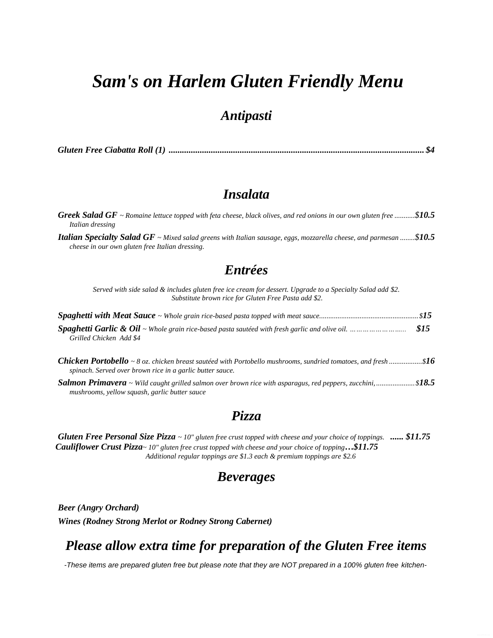## *Sam's on Harlem Gluten Friendly Menu*

#### *Antipasti*

*Gluten Free Ciabatta Roll (1) ................................................................................................................... \$4*

#### *Insalata*

| <b>Greek Salad GF</b> ~ Romaine lettuce topped with feta cheese, black olives, and red onions in our own gluten free \$10.5<br>Italian dressing                              |  |  |
|------------------------------------------------------------------------------------------------------------------------------------------------------------------------------|--|--|
| <b>Italian Specialty Salad GF</b> ~ Mixed salad greens with Italian sausage, eggs, mozzarella cheese, and parmesan \$10.5<br>cheese in our own gluten free Italian dressing. |  |  |
| 17.1.2.7                                                                                                                                                                     |  |  |

#### *Entrées*

*Served with side salad & includes gluten free ice cream for dessert. Upgrade to a Specialty Salad add \$2. Substitute brown rice for Gluten Free Pasta add \$2.*

| Grilled Chicken Add \$4                                                                                                                                                            |  |
|------------------------------------------------------------------------------------------------------------------------------------------------------------------------------------|--|
| <b>Chicken Portobello</b> ~ 8 oz. chicken breast sautéed with Portobello mushrooms, sundried tomatoes, and fresh \$16<br>spinach. Served over brown rice in a garlic butter sauce. |  |
| <b>Salmon Primavera</b> ~ Wild caught grilled salmon over brown rice with asparagus, red peppers, zucchini,  \$18.5<br>mushrooms, yellow squash, garlic butter sauce               |  |

### *Pizza*

*Gluten Free Personal Size Pizza ~ 10" gluten free crust topped with cheese and your choice of toppings. ...... \$11.75 Cauliflower Crust Pizza~ 10" gluten free crust topped with cheese and your choice of topping…\$11.75 Additional regular toppings are \$1.3 each & premium toppings are \$2.6*

#### *Beverages*

*Beer (Angry Orchard) Wines (Rodney Strong Merlot or Rodney Strong Cabernet)*

### *Please allow extra time for preparation of the Gluten Free items*

*-These items are prepared gluten free but please note that they are NOT prepared in a 100% gluten free kitchen-*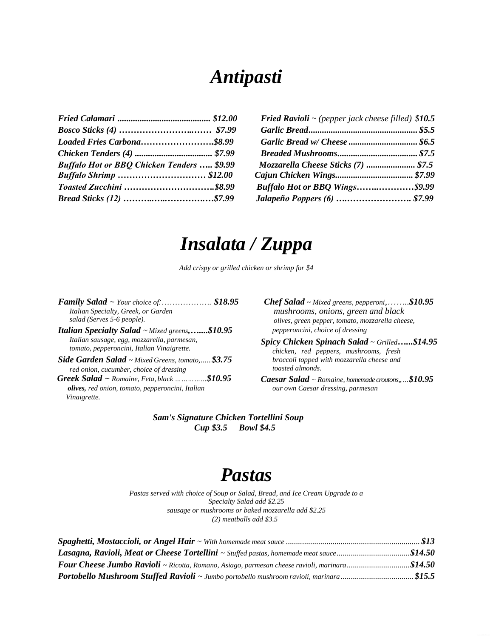# *Antipasti*

|                                                   | <b>Fried Ravioli</b> $\sim$ (pepper jack cheese filled) \$10.5 |
|---------------------------------------------------|----------------------------------------------------------------|
|                                                   |                                                                |
| Loaded Fries Carbona\$8.99                        |                                                                |
|                                                   |                                                                |
| <b>Buffalo Hot or BBQ Chicken Tenders  \$9.99</b> | Mozzarella Cheese Sticks (7)  \$7.5                            |
|                                                   |                                                                |
|                                                   | <b>Buffalo Hot or BBQ Wings\$9.99</b>                          |
| Bread Sticks (12) \$7.99                          |                                                                |
|                                                   |                                                                |

|                                                   | <b>Fried Ravioli</b> $\sim$ (pepper jack cheese filled) \$10.5 |
|---------------------------------------------------|----------------------------------------------------------------|
|                                                   |                                                                |
| Loaded Fries Carbona\$8.99                        |                                                                |
|                                                   |                                                                |
| <b>Buffalo Hot or BBQ Chicken Tenders  \$9.99</b> | Mozzarella Cheese Sticks (7)  \$7.5                            |
| <b>Buffalo Shrimp  \$12.00</b>                    |                                                                |
| Toasted Zucchini \$8.99                           | <b>Buffalo Hot or BBQ Wings\$9.99</b>                          |
| Bread Sticks (12) \$7.99                          | Jalapeño Poppers (6)  \$7.99                                   |

# *Insalata / Zuppa*

*Add crispy or grilled chicken or shrimp for \$4* 

 *Family Salad ~ Your choice of:………………. \$18.95 Chef Salad ~ Mixed greens, pepperoni,……..\$10.95 Italian Specialty, Greek, or Garden salad (Serves 5-6 people). Italian Specialty Salad ~ Mixed greens,…....\$10.95*

*Italian sausage, egg, mozzarella, parmesan, tomato, pepperoncini, Italian Vinaigrette.*

*Side Garden Salad ~ Mixed Greens, tomato,.....\$3.75 red onion, cucumber, choice of dressing*

 *Greek Salad ~ Romaine, Feta, black ……………\$10.95 olives, red onion, tomato, pepperoncini, Italian Vinaigrette.*

 *mushrooms, onions, green and black olives, green pepper, tomato, mozzarella cheese, pepperoncini, choice of dressing*

*Spicy Chicken Spinach Salad ~ Grilled…...\$14.95 chicken, red peppers, mushrooms, fresh broccoli topped with mozzarella cheese and toasted almonds.*

*Caesar Salad ~ Romaine, homemade croutons,,…\$10.95 our own Caesar dressing, parmesan*

*Sam's Signature Chicken Tortellini Soup Cup \$3.5 Bowl \$4.5*

## *Pastas*

*Pastas served with choice of Soup or Salad, Bread, and Ice Cream Upgrade to a Specialty Salad add \$2.25 sausage or mushrooms or baked mozzarella add \$2.25 (2) meatballs add \$3.5*

| Lasagna, Ravioli, Meat or Cheese Tortellini ~ Stuffed pastas, homemade meat sauce\$14.50             |  |
|------------------------------------------------------------------------------------------------------|--|
| <b>Four Cheese Jumbo Ravioli</b> ~ Ricotta, Romano, Asiago, parmesan cheese ravioli, marinara\$14.50 |  |
| Portobello Mushroom Stuffed Ravioli ~ Jumbo portobello mushroom ravioli, marinara\$15.5              |  |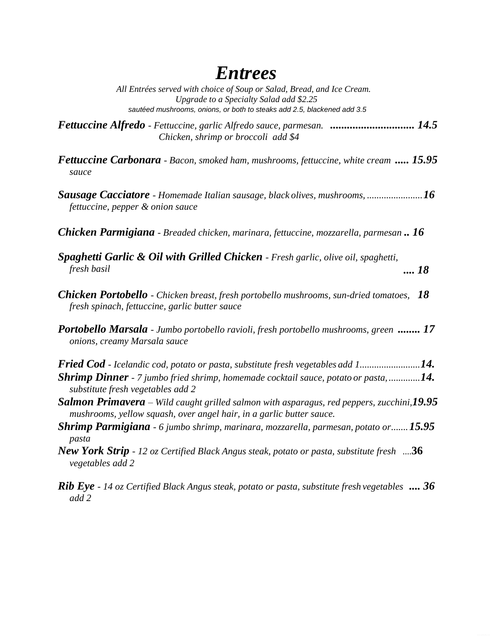## *Entrees*

*All Entrées served with choice of Soup or Salad, Bread, and Ice Cream. Upgrade to a Specialty Salad add \$2.25 sautéed mushrooms, onions, or both to steaks add 2.5, blackened add 3.5*

*Fettuccine Alfredo - Fettuccine, garlic Alfredo sauce, parmesan. .............................. 14.5 Chicken, shrimp or broccoli add \$4*

*Fettuccine Carbonara - Bacon, smoked ham, mushrooms, fettuccine, white cream ..... 15.95 sauce*

*Sausage Cacciatore - Homemade Italian sausage, black olives, mushrooms, .......................16 fettuccine, pepper & onion sauce*

*Chicken Parmigiana - Breaded chicken, marinara, fettuccine, mozzarella, parmesan .. 16*

- *Spaghetti Garlic & Oil with Grilled Chicken - Fresh garlic, olive oil, spaghetti, fresh basil .... 18*
- *Chicken Portobello - Chicken breast, fresh portobello mushrooms, sun-dried tomatoes, 18 fresh spinach, fettuccine, garlic butter sauce*

*Portobello Marsala - Jumbo portobello ravioli, fresh portobello mushrooms, green ........ 17 onions, creamy Marsala sauce*

*Fried Cod - Icelandic cod, potato or pasta, substitute fresh vegetables add 1.........................14. Shrimp Dinner - 7 jumbo fried shrimp, homemade cocktail sauce, potato or pasta, .............14. substitute fresh vegetables add 2*

- *Salmon Primavera – Wild caught grilled salmon with asparagus, red peppers, zucchini,19.95 mushrooms, yellow squash, over angel hair, in a garlic butter sauce.*
- *Shrimp Parmigiana - 6 jumbo shrimp, marinara, mozzarella, parmesan, potato or.......15.95 pasta*
- *New York Strip - 12 oz Certified Black Angus steak, potato or pasta, substitute fresh*  ....**36** *vegetables add 2*

*Rib Eye - 14 oz Certified Black Angus steak, potato or pasta, substitute fresh vegetables .... 36add 2*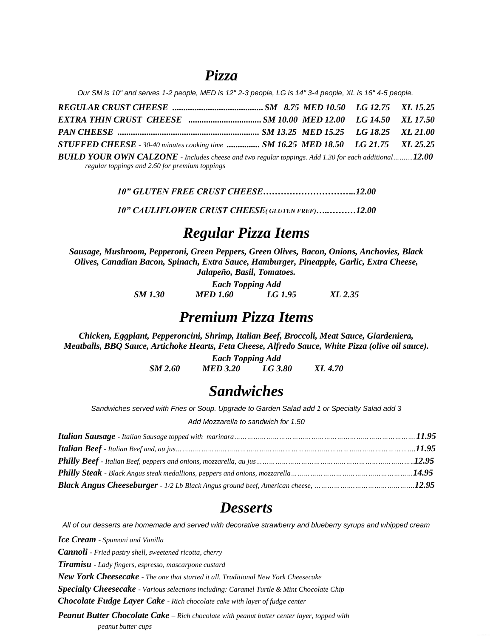### *Pizza*

*Our SM is 10" and serves 1-2 people, MED is 12" 2-3 people, LG is 14" 3-4 people, XL is 16" 4-5 people.*

*REGULAR CRUST CHEESE .........................................SM 8.75 MED 10.50 LG 12.75 XL 15.25 EXTRA THIN CRUST CHEESE .................................SM 10.00 MED 12.00 LG 14.50 XL 17.50 PAN CHEESE ................................................................ SM 13.25 MED 15.25 LG 18.25 XL 21.00 STUFFED CHEESE - 30-40 minutes cooking time ............... SM 16.25 MED 18.50 LG 21.75 XL 25.25 BUILD YOUR OWN CALZONE - Includes cheese and two regular toppings. Add 1.30 for each additional……....12.00 regular toppings and 2.60 for premium toppings*

*10" GLUTEN FREE CRUST CHEESE…………………………..12.00*

*10" CAULIFLOWER CRUST CHEESE( GLUTEN FREE)…..………12.00*

### *Regular Pizza Items*

*Sausage, Mushroom, Pepperoni, Green Peppers, Green Olives, Bacon, Onions, Anchovies, Black Olives, Canadian Bacon, Spinach, Extra Sauce, Hamburger, Pineapple, Garlic, Extra Cheese, Jalapeño, Basil, Tomatoes.*

> *Each Topping Add SM 1.30 MED 1.60 LG 1.95 XL 2.35*

### *Premium Pizza Items*

*Chicken, Eggplant, Pepperoncini, Shrimp, Italian Beef, Broccoli, Meat Sauce, Giardeniera, Meatballs, BBQ Sauce, Artichoke Hearts, Feta Cheese, Alfredo Sauce, White Pizza (olive oil sauce).*

> *Each Topping Add SM 2.60 MED 3.20 LG 3.80 XL 4.70*

### *Sandwiches*

*Sandwiches served with Fries or Soup. Upgrade to Garden Salad add 1 or Specialty Salad add 3*

*Add Mozzarella to sandwich for 1.50*

### *Desserts*

*All of our desserts are homemade and served with decorative strawberry and blueberry syrups and whipped cream*

*Ice Cream - Spumoni and Vanilla Cannoli - Fried pastry shell, sweetened ricotta, cherry Tiramisu - Lady fingers, espresso, mascarpone custard New York Cheesecake - The one that started it all. Traditional New York Cheesecake Specialty Cheesecake - Various selections including: Caramel Turtle & Mint Chocolate Chip Chocolate Fudge Layer Cake - Rich chocolate cake with layer of fudge center Peanut Butter Chocolate Cake – Rich chocolate with peanut butter center layer, topped with peanut butter cups*